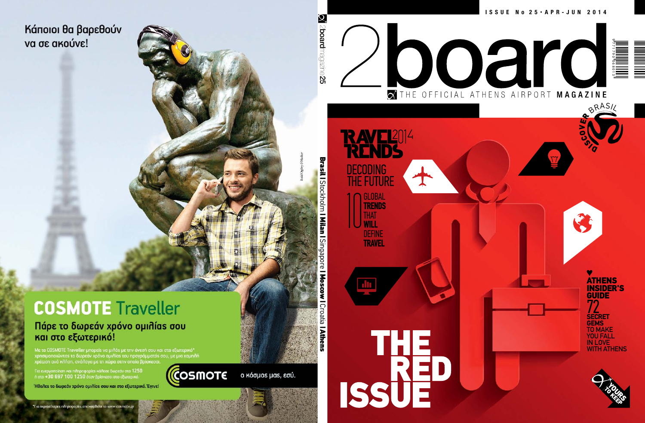